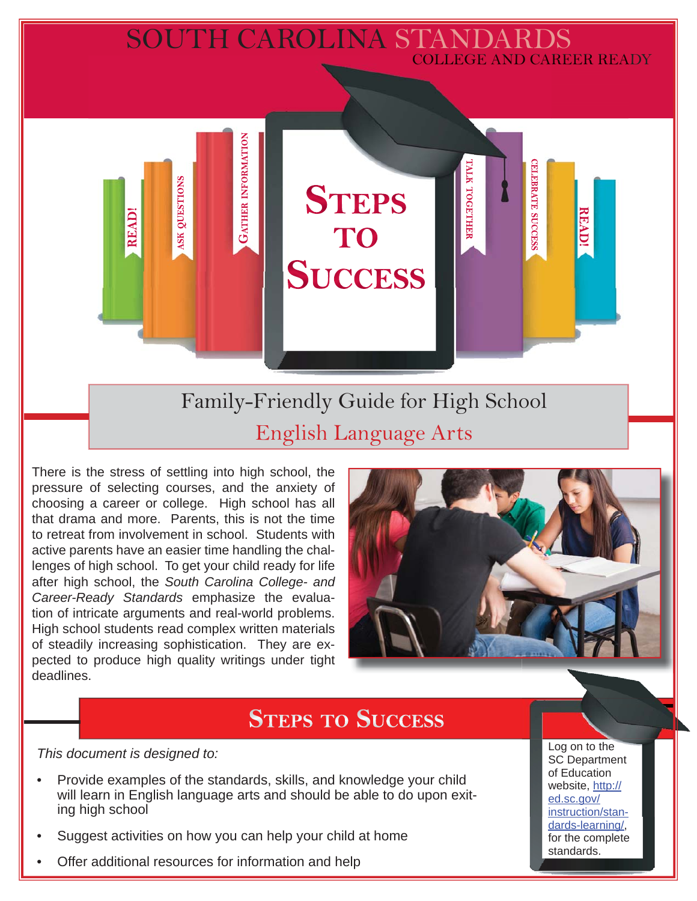# SOUTH CAROLINA STANDARDS COLLEGE AND CAREER READY

Family-Friendly Guide for High School English Language Arts

**STEPS** 

TO

**SUCCESS** 

There is the stress of settling into high school, the pressure of selecting courses, and the anxiety of choosing a career or college. High school has all that drama and more. Parents, this is not the time to retreat from involvement in school. Students with active parents have an easier time handling the challenges of high school. To get your child ready for life after high school, the *South Carolina College- and Career-Ready Standards* emphasize the evaluation of intricate arguments and real-world problems. High school students read complex written materials of steadily increasing sophistication. They are expected to produce high quality writings under tight deadlines.

**GATHER INFORMATION** 

QUESTIONS

SK<sub>1</sub>

**READ!** 



**CELEBRATE SUCCESS** 

**READ!** 

ГАГК ТОGЕТНЕЕ

# **STEPS TO SUCCESS**

*This document is designed to:* 

- Provide examples of the standards, skills, and knowledge your child will learn in English language arts and should be able to do upon exiting high school
- Suggest activities on how you can help your child at home
- Offer additional resources for information and help

Log on to the SC Department of Education website, http:// ed.sc.gov/ instruction/standards-learning/, for the complete standards.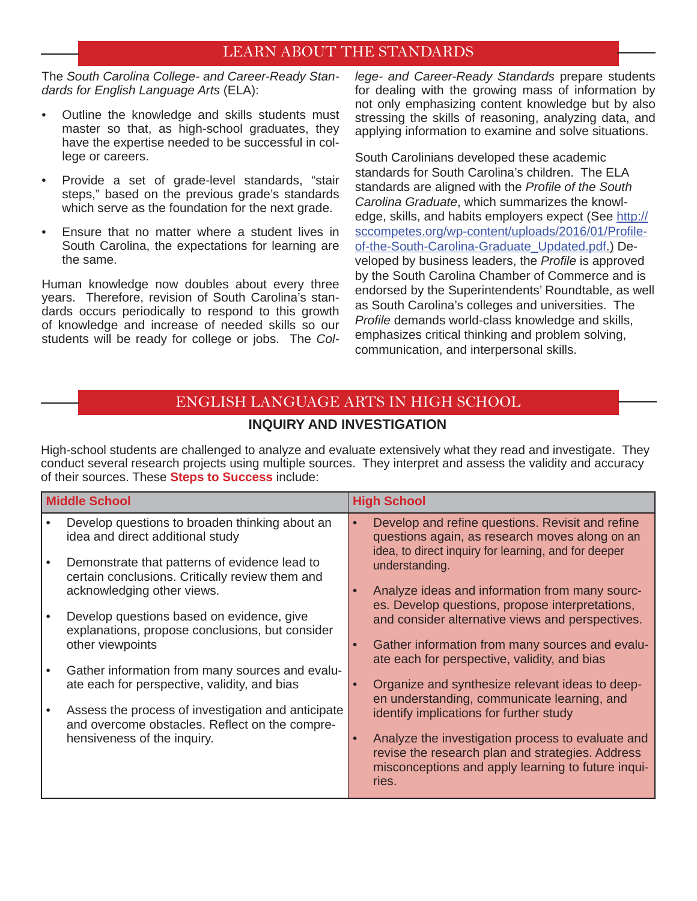#### LEARN ABOUT THE STANDARDS

The *South Carolina College- and Career-Ready Standards for English Language Arts* (ELA):

- Outline the knowledge and skills students must master so that, as high-school graduates, they have the expertise needed to be successful in college or careers.
- Provide a set of grade-level standards, "stair steps," based on the previous grade's standards which serve as the foundation for the next grade.
- Ensure that no matter where a student lives in South Carolina, the expectations for learning are the same.

Human knowledge now doubles about every three years. Therefore, revision of South Carolina's standards occurs periodically to respond to this growth of knowledge and increase of needed skills so our students will be ready for college or jobs. The *Col-* *lege- and Career-Ready Standards* prepare students for dealing with the growing mass of information by not only emphasizing content knowledge but by also stressing the skills of reasoning, analyzing data, and applying information to examine and solve situations.

South Carolinians developed these academic standards for South Carolina's children. The ELA standards are aligned with the *Profile of the South Carolina Graduate*, which summarizes the knowledge, skills, and habits employers expect (See http:// sccompetes.org/wp-content/uploads/2016/01/Profileof-the-South-Carolina-Graduate\_Updated.pdf.) Developed by business leaders, the *Profile* is approved by the South Carolina Chamber of Commerce and is endorsed by the Superintendents' Roundtable, as well as South Carolina's colleges and universities. The **Profile demands world-class knowledge and skills,** emphasizes critical thinking and problem solving, communication, and interpersonal skills.

## ENGLISH LANGUAGE ARTS IN HIGH SCHOOL **INQUIRY AND INVESTIGATION**

High-school students are challenged to analyze and evaluate extensively what they read and investigate. They conduct several research projects using multiple sources. They interpret and assess the validity and accuracy of their sources. These **Steps to Success** include:

| <b>Middle School</b> |                                                                                                  | <b>High School</b> |                                                                                                                                                                      |
|----------------------|--------------------------------------------------------------------------------------------------|--------------------|----------------------------------------------------------------------------------------------------------------------------------------------------------------------|
|                      | Develop questions to broaden thinking about an<br>idea and direct additional study               |                    | Develop and refine questions. Revisit and refine<br>questions again, as research moves along on an<br>idea, to direct inquiry for learning, and for deeper           |
|                      | Demonstrate that patterns of evidence lead to<br>certain conclusions. Critically review them and |                    | understanding.                                                                                                                                                       |
|                      | acknowledging other views.<br>Develop questions based on evidence, give                          | $\bullet$          | Analyze ideas and information from many sourc-<br>es. Develop questions, propose interpretations,<br>and consider alternative views and perspectives.                |
|                      | explanations, propose conclusions, but consider<br>other viewpoints                              |                    | Gather information from many sources and evalu-                                                                                                                      |
|                      | Gather information from many sources and evalu-<br>ate each for perspective, validity, and bias  | $\bullet$          | ate each for perspective, validity, and bias<br>Organize and synthesize relevant ideas to deep-                                                                      |
|                      | Assess the process of investigation and anticipate                                               |                    | en understanding, communicate learning, and<br>identify implications for further study                                                                               |
|                      | and overcome obstacles. Reflect on the compre-<br>hensiveness of the inquiry.                    | $\bullet$          | Analyze the investigation process to evaluate and<br>revise the research plan and strategies. Address<br>misconceptions and apply learning to future inqui-<br>ries. |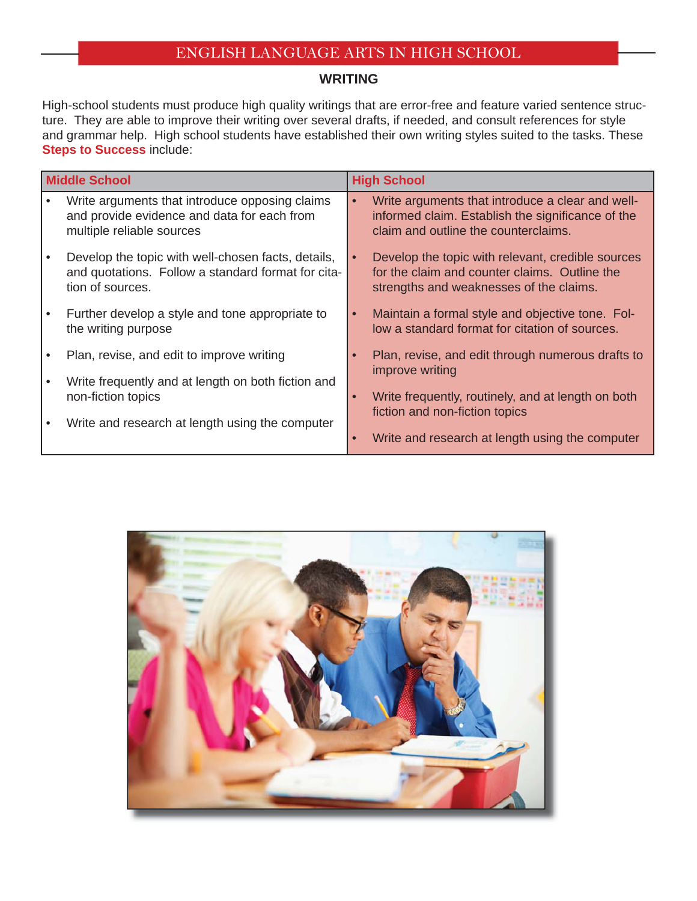#### **WRITING**

High-school students must produce high quality writings that are error-free and feature varied sentence structure. They are able to improve their writing over several drafts, if needed, and consult references for style and grammar help. High school students have established their own writing styles suited to the tasks. These **Steps to Success** include:

| <b>Middle School</b> |                                                                                                                              | <b>High School</b> |                                                                                                                                                            |
|----------------------|------------------------------------------------------------------------------------------------------------------------------|--------------------|------------------------------------------------------------------------------------------------------------------------------------------------------------|
|                      | Write arguments that introduce opposing claims<br>and provide evidence and data for each from<br>multiple reliable sources   | $\bullet$          | Write arguments that introduce a clear and well-<br>informed claim. Establish the significance of the<br>claim and outline the counterclaims.              |
|                      | Develop the topic with well-chosen facts, details,<br>and quotations. Follow a standard format for cita-<br>tion of sources. | $\bullet$          | Develop the topic with relevant, credible sources<br>for the claim and counter claims. Outline the<br>strengths and weaknesses of the claims.              |
|                      | Further develop a style and tone appropriate to<br>the writing purpose                                                       |                    | Maintain a formal style and objective tone. Fol-<br>low a standard format for citation of sources.                                                         |
|                      | Plan, revise, and edit to improve writing                                                                                    |                    | Plan, revise, and edit through numerous drafts to                                                                                                          |
|                      | Write frequently and at length on both fiction and<br>non-fiction topics<br>Write and research at length using the computer  |                    | improve writing<br>Write frequently, routinely, and at length on both<br>fiction and non-fiction topics<br>Write and research at length using the computer |

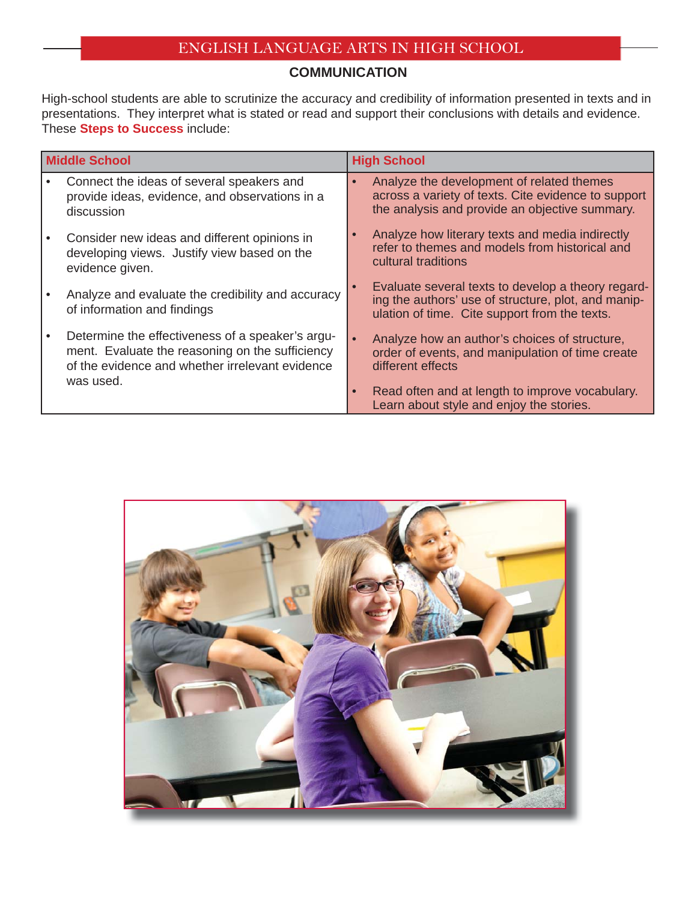#### **COMMUNICATION**

High-school students are able to scrutinize the accuracy and credibility of information presented in texts and in presentations. They interpret what is stated or read and support their conclusions with details and evidence. These **Steps to Success** include:

| <b>Middle School</b> |                                                                                                                                                                     | <b>High School</b> |                                                                                                                                                            |
|----------------------|---------------------------------------------------------------------------------------------------------------------------------------------------------------------|--------------------|------------------------------------------------------------------------------------------------------------------------------------------------------------|
|                      | Connect the ideas of several speakers and<br>provide ideas, evidence, and observations in a<br>discussion                                                           | $\bullet$          | Analyze the development of related themes<br>across a variety of texts. Cite evidence to support<br>the analysis and provide an objective summary.         |
|                      | Consider new ideas and different opinions in<br>developing views. Justify view based on the<br>evidence given.                                                      |                    | Analyze how literary texts and media indirectly<br>refer to themes and models from historical and<br>cultural traditions                                   |
|                      | Analyze and evaluate the credibility and accuracy<br>of information and findings                                                                                    |                    | Evaluate several texts to develop a theory regard-<br>ing the authors' use of structure, plot, and manip-<br>ulation of time. Cite support from the texts. |
|                      | Determine the effectiveness of a speaker's argu-<br>ment. Evaluate the reasoning on the sufficiency<br>of the evidence and whether irrelevant evidence<br>was used. | $\bullet$          | Analyze how an author's choices of structure,<br>order of events, and manipulation of time create<br>different effects                                     |
|                      |                                                                                                                                                                     |                    | Read often and at length to improve vocabulary.<br>Learn about style and enjoy the stories.                                                                |

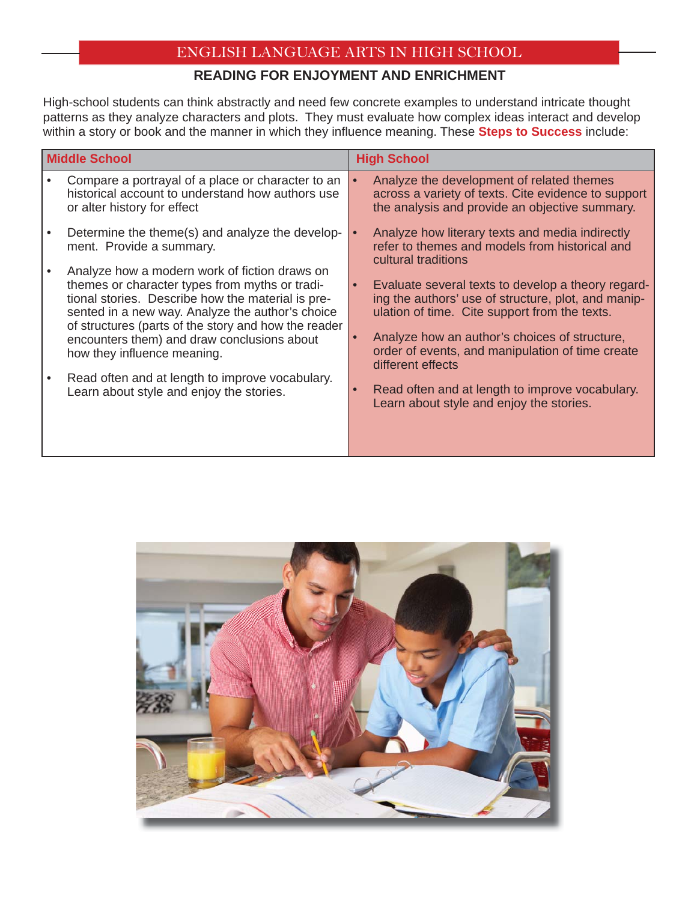## **READING FOR ENJOYMENT AND ENRICHMENT**

High-school students can think abstractly and need few concrete examples to understand intricate thought patterns as they analyze characters and plots. They must evaluate how complex ideas interact and develop within a story or book and the manner in which they influence meaning. These **Steps to Success** include:

| <b>Middle School</b> |                                                                                                                                                                                                                                                                                                                                                | <b>High School</b>     |                                                                                                                                                                                                                                                                                      |
|----------------------|------------------------------------------------------------------------------------------------------------------------------------------------------------------------------------------------------------------------------------------------------------------------------------------------------------------------------------------------|------------------------|--------------------------------------------------------------------------------------------------------------------------------------------------------------------------------------------------------------------------------------------------------------------------------------|
|                      | Compare a portrayal of a place or character to an<br>historical account to understand how authors use<br>or alter history for effect                                                                                                                                                                                                           | $\bullet$              | Analyze the development of related themes<br>across a variety of texts. Cite evidence to support<br>the analysis and provide an objective summary.                                                                                                                                   |
|                      | Determine the theme(s) and analyze the develop-<br>ment. Provide a summary.                                                                                                                                                                                                                                                                    |                        | Analyze how literary texts and media indirectly<br>refer to themes and models from historical and<br>cultural traditions                                                                                                                                                             |
|                      | Analyze how a modern work of fiction draws on<br>themes or character types from myths or tradi-<br>tional stories. Describe how the material is pre-<br>sented in a new way. Analyze the author's choice<br>of structures (parts of the story and how the reader<br>encounters them) and draw conclusions about<br>how they influence meaning. | $\bullet$<br>$\bullet$ | Evaluate several texts to develop a theory regard-<br>ing the authors' use of structure, plot, and manip-<br>ulation of time. Cite support from the texts.<br>Analyze how an author's choices of structure,<br>order of events, and manipulation of time create<br>different effects |
|                      | Read often and at length to improve vocabulary.<br>Learn about style and enjoy the stories.                                                                                                                                                                                                                                                    |                        | Read often and at length to improve vocabulary.<br>Learn about style and enjoy the stories.                                                                                                                                                                                          |

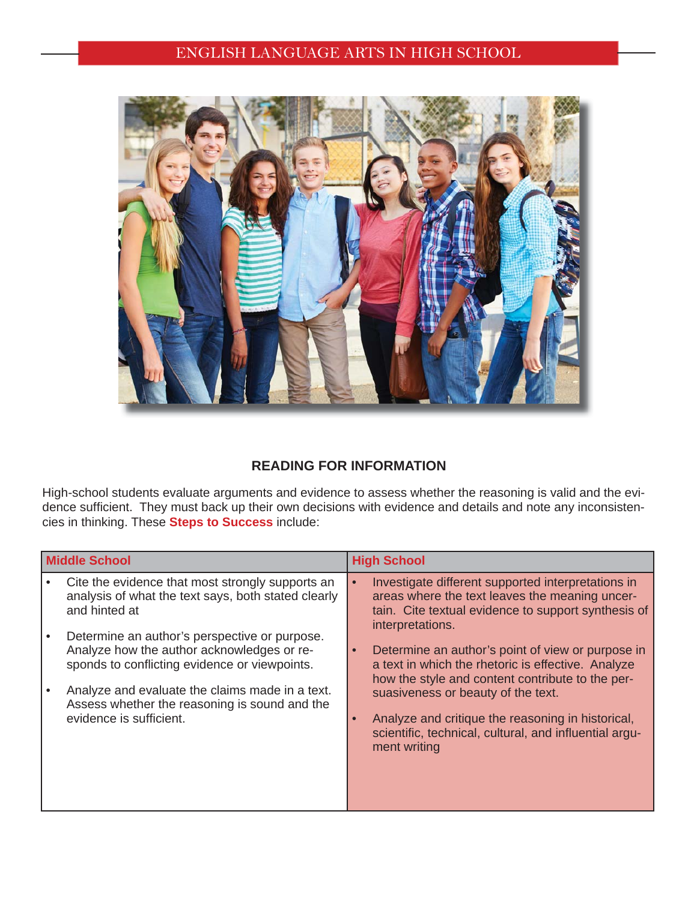

#### **READING FOR INFORMATION**

High-school students evaluate arguments and evidence to assess whether the reasoning is valid and the evidence sufficient. They must back up their own decisions with evidence and details and note any inconsistencies in thinking. These **Steps to Success** include:

| <b>Middle School</b> |                                                                                                                                                                                                                                                                             | <b>High School</b>                                                                                                                                                                                                                                                                                                                            |  |
|----------------------|-----------------------------------------------------------------------------------------------------------------------------------------------------------------------------------------------------------------------------------------------------------------------------|-----------------------------------------------------------------------------------------------------------------------------------------------------------------------------------------------------------------------------------------------------------------------------------------------------------------------------------------------|--|
|                      | Cite the evidence that most strongly supports an<br>analysis of what the text says, both stated clearly<br>and hinted at                                                                                                                                                    | Investigate different supported interpretations in<br>areas where the text leaves the meaning uncer-<br>tain. Cite textual evidence to support synthesis of<br>interpretations.                                                                                                                                                               |  |
|                      | Determine an author's perspective or purpose.<br>Analyze how the author acknowledges or re-<br>sponds to conflicting evidence or viewpoints.<br>Analyze and evaluate the claims made in a text.<br>Assess whether the reasoning is sound and the<br>evidence is sufficient. | Determine an author's point of view or purpose in<br>$\bullet$<br>a text in which the rhetoric is effective. Analyze<br>how the style and content contribute to the per-<br>suasiveness or beauty of the text.<br>Analyze and critique the reasoning in historical,<br>scientific, technical, cultural, and influential argu-<br>ment writing |  |
|                      |                                                                                                                                                                                                                                                                             |                                                                                                                                                                                                                                                                                                                                               |  |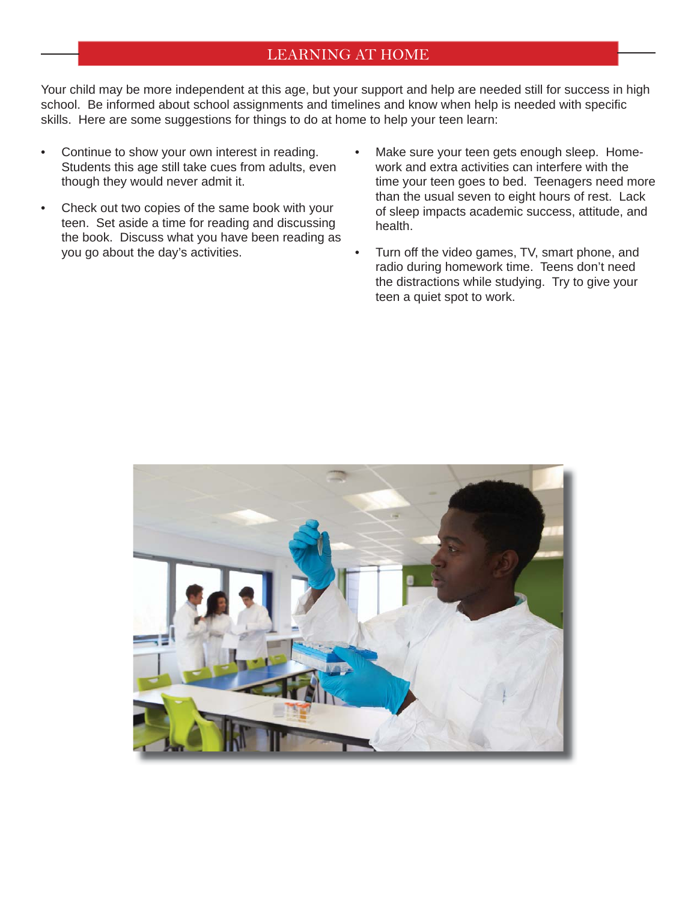#### LEARNING AT HOME

Your child may be more independent at this age, but your support and help are needed still for success in high school. Be informed about school assignments and timelines and know when help is needed with specific skills. Here are some suggestions for things to do at home to help your teen learn:

- Continue to show your own interest in reading. Students this age still take cues from adults, even though they would never admit it.
- Check out two copies of the same book with your teen. Set aside a time for reading and discussing the book. Discuss what you have been reading as you go about the day's activities.
- Make sure your teen gets enough sleep. Homework and extra activities can interfere with the time your teen goes to bed. Teenagers need more than the usual seven to eight hours of rest. Lack of sleep impacts academic success, attitude, and health.
- Turn off the video games, TV, smart phone, and radio during homework time. Teens don't need the distractions while studying. Try to give your teen a quiet spot to work.